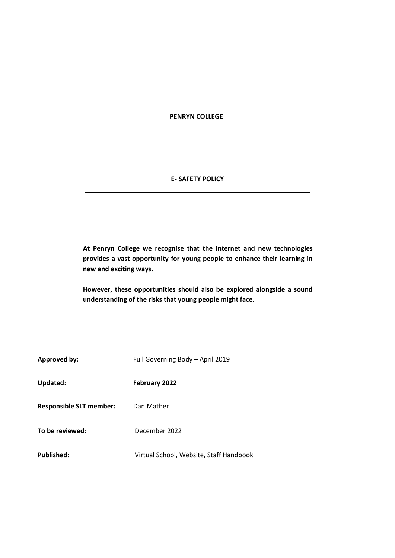#### **PENRYN COLLEGE**

## **E- SAFETY POLICY**

**At Penryn College we recognise that the Internet and new technologies provides a vast opportunity for young people to enhance their learning in new and exciting ways.** 

**However, these opportunities should also be explored alongside a sound understanding of the risks that young people might face.** 

| <b>Approved by:</b>            | Full Governing Body - April 2019        |
|--------------------------------|-----------------------------------------|
| Updated:                       | February 2022                           |
| <b>Responsible SLT member:</b> | Dan Mather                              |
| To be reviewed:                | December 2022                           |
| Published:                     | Virtual School, Website, Staff Handbook |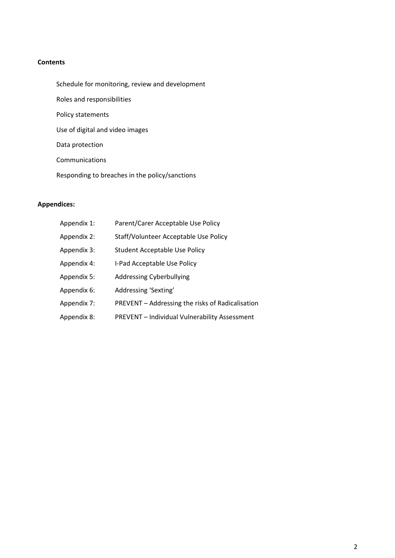### **Contents**

- Schedule for monitoring, review and development
- Roles and responsibilities
- Policy statements
- Use of digital and video images
- Data protection
- Communications
- Responding to breaches in the policy/sanctions

# **Appendices:**

| Appendix 1: | Parent/Carer Acceptable Use Policy                   |
|-------------|------------------------------------------------------|
| Appendix 2: | Staff/Volunteer Acceptable Use Policy                |
| Appendix 3: | Student Acceptable Use Policy                        |
| Appendix 4: | I-Pad Acceptable Use Policy                          |
| Appendix 5: | <b>Addressing Cyberbullying</b>                      |
| Appendix 6: | Addressing 'Sexting'                                 |
| Appendix 7: | PREVENT - Addressing the risks of Radicalisation     |
| Appendix 8: | <b>PREVENT</b> - Individual Vulnerability Assessment |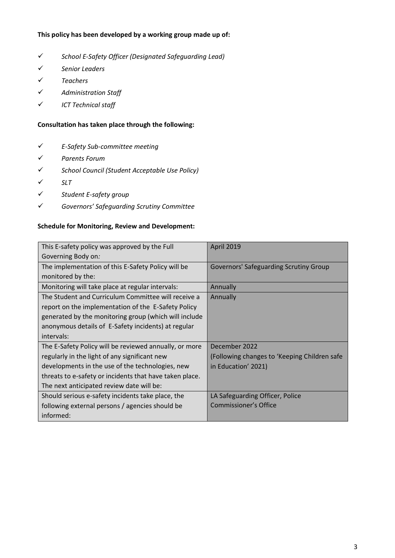### **This policy has been developed by a working group made up of:**

- ✓ *School E-Safety Officer (Designated Safeguarding Lead)*
- ✓ *Senior Leaders*
- ✓ *Teachers*
- ✓ *Administration Staff*
- ✓ *ICT Technical staff*

## **Consultation has taken place through the following:**

- ✓ *E-Safety Sub-committee meeting*
- ✓ *Parents Forum*
- ✓ *School Council (Student Acceptable Use Policy)*
- ✓ *SLT*
- ✓ *Student E-safety group*
- ✓ *Governors' Safeguarding Scrutiny Committee*

### **Schedule for Monitoring, Review and Development:**

| This E-safety policy was approved by the Full           | April 2019                                    |
|---------------------------------------------------------|-----------------------------------------------|
| Governing Body on:                                      |                                               |
| The implementation of this E-Safety Policy will be      | <b>Governors' Safeguarding Scrutiny Group</b> |
| monitored by the:                                       |                                               |
| Monitoring will take place at regular intervals:        | Annually                                      |
| The Student and Curriculum Committee will receive a     | Annually                                      |
| report on the implementation of the E-Safety Policy     |                                               |
| generated by the monitoring group (which will include   |                                               |
| anonymous details of E-Safety incidents) at regular     |                                               |
| intervals:                                              |                                               |
| The E-Safety Policy will be reviewed annually, or more  | December 2022                                 |
| regularly in the light of any significant new           | (Following changes to 'Keeping Children safe  |
| developments in the use of the technologies, new        | in Education' 2021)                           |
| threats to e-safety or incidents that have taken place. |                                               |
| The next anticipated review date will be:               |                                               |
| Should serious e-safety incidents take place, the       | LA Safeguarding Officer, Police               |
| following external persons / agencies should be         | Commissioner's Office                         |
| informed:                                               |                                               |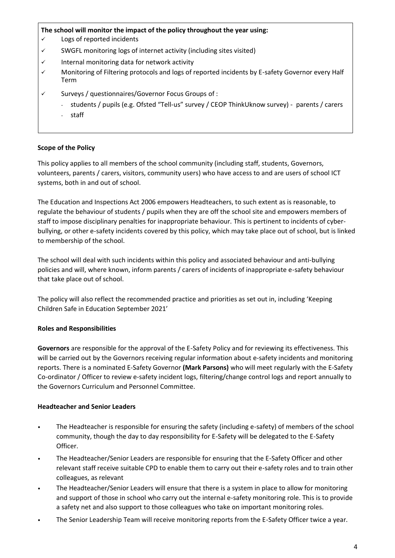### **The school will monitor the impact of the policy throughout the year using:**

- ✓ Logs of reported incidents
- ✓ SWGFL monitoring logs of internet activity (including sites visited)
- ✓ Internal monitoring data for network activity
- ✓ Monitoring of Filtering protocols and logs of reported incidents by E-safety Governor every Half Term
- ✓ Surveys / questionnaires/Governor Focus Groups of :
	- students / pupils (e.g. Ofsted "Tell-us" survey / CEOP ThinkUknow survey) parents / carers
		- staff

### **Scope of the Policy**

This policy applies to all members of the school community (including staff, students, Governors, volunteers, parents / carers, visitors, community users) who have access to and are users of school ICT systems, both in and out of school.

The Education and Inspections Act 2006 empowers Headteachers, to such extent as is reasonable, to regulate the behaviour of students / pupils when they are off the school site and empowers members of staff to impose disciplinary penalties for inappropriate behaviour. This is pertinent to incidents of cyberbullying, or other e-safety incidents covered by this policy, which may take place out of school, but is linked to membership of the school.

The school will deal with such incidents within this policy and associated behaviour and anti-bullying policies and will, where known, inform parents / carers of incidents of inappropriate e-safety behaviour that take place out of school.

The policy will also reflect the recommended practice and priorities as set out in, including 'Keeping Children Safe in Education September 2021'

#### **Roles and Responsibilities**

**Governors** are responsible for the approval of the E-Safety Policy and for reviewing its effectiveness. This will be carried out by the Governors receiving regular information about e-safety incidents and monitoring reports. There is a nominated E-Safety Governor **(Mark Parsons)** who will meet regularly with the E-Safety Co-ordinator / Officer to review e-safety incident logs, filtering/change control logs and report annually to the Governors Curriculum and Personnel Committee.

## **Headteacher and Senior Leaders**

- The Headteacher is responsible for ensuring the safety (including e-safety) of members of the school community, though the day to day responsibility for E-Safety will be delegated to the E-Safety Officer.
- The Headteacher/Senior Leaders are responsible for ensuring that the E-Safety Officer and other relevant staff receive suitable CPD to enable them to carry out their e-safety roles and to train other colleagues, as relevant
- The Headteacher/Senior Leaders will ensure that there is a system in place to allow for monitoring and support of those in school who carry out the internal e-safety monitoring role. This is to provide a safety net and also support to those colleagues who take on important monitoring roles.
- The Senior Leadership Team will receive monitoring reports from the E-Safety Officer twice a year.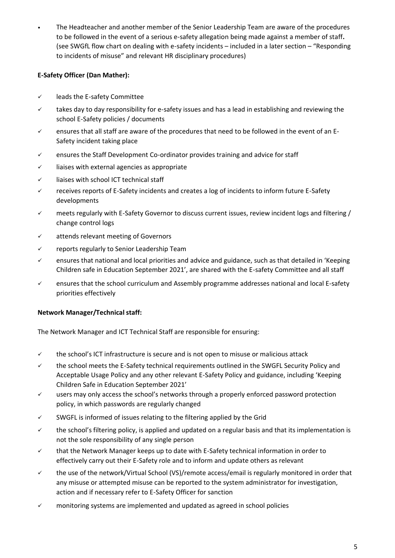• The Headteacher and another member of the Senior Leadership Team are aware of the procedures to be followed in the event of a serious e-safety allegation being made against a member of staff**.** (see SWGfL flow chart on dealing with e-safety incidents – included in a later section – "Responding to incidents of misuse" and relevant HR disciplinary procedures)

## **E-Safety Officer (Dan Mather):**

- ✓ leads the E-safety Committee
- $\checkmark$  takes day to day responsibility for e-safety issues and has a lead in establishing and reviewing the school E-Safety policies / documents
- ✓ ensures that all staff are aware of the procedures that need to be followed in the event of an E-Safety incident taking place
- $\checkmark$  ensures the Staff Development Co-ordinator provides training and advice for staff
- $\checkmark$  liaises with external agencies as appropriate
- ✓ liaises with school ICT technical staff
- $\checkmark$  receives reports of E-Safety incidents and creates a log of incidents to inform future E-Safety developments
- $\checkmark$  meets regularly with E-Safety Governor to discuss current issues, review incident logs and filtering / change control logs
- ✓ attends relevant meeting of Governors
- ✓ reports regularly to Senior Leadership Team
- ✓ ensures that national and local priorities and advice and guidance, such as that detailed in 'Keeping Children safe in Education September 2021', are shared with the E-safety Committee and all staff
- $\checkmark$  ensures that the school curriculum and Assembly programme addresses national and local E-safety priorities effectively

# **Network Manager/Technical staff:**

The Network Manager and ICT Technical Staff are responsible for ensuring:

- $\checkmark$  the school's ICT infrastructure is secure and is not open to misuse or malicious attack
- ✓ the school meets the E-Safety technical requirements outlined in the SWGFL Security Policy and Acceptable Usage Policy and any other relevant E-Safety Policy and guidance, including 'Keeping Children Safe in Education September 2021'
- $\checkmark$  users may only access the school's networks through a properly enforced password protection policy, in which passwords are regularly changed
- ✓ SWGFL is informed of issues relating to the filtering applied by the Grid
- ✓ the school's filtering policy, is applied and updated on a regular basis and that its implementation is not the sole responsibility of any single person
- $\checkmark$  that the Network Manager keeps up to date with E-Safety technical information in order to effectively carry out their E-Safety role and to inform and update others as relevant
- ✓ the use of the network/Virtual School (VS)/remote access/email is regularly monitored in order that any misuse or attempted misuse can be reported to the system administrator for investigation, action and if necessary refer to E-Safety Officer for sanction
- ✓ monitoring systems are implemented and updated as agreed in school policies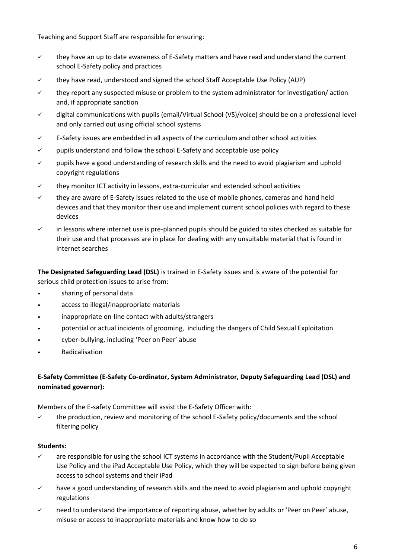Teaching and Support Staff are responsible for ensuring:

- $\checkmark$  they have an up to date awareness of E-Safety matters and have read and understand the current school E-Safety policy and practices
- they have read, understood and signed the school Staff Acceptable Use Policy (AUP)
- $\checkmark$  they report any suspected misuse or problem to the system administrator for investigation/action and, if appropriate sanction
- ✓ digital communications with pupils (email/Virtual School (VS)/voice) should be on a professional level and only carried out using official school systems
- $\checkmark$  E-Safety issues are embedded in all aspects of the curriculum and other school activities
- $\checkmark$  pupils understand and follow the school E-Safety and acceptable use policy
- ✓ pupils have a good understanding of research skills and the need to avoid plagiarism and uphold copyright regulations
- $\checkmark$  they monitor ICT activity in lessons, extra-curricular and extended school activities
- $\checkmark$  they are aware of E-Safety issues related to the use of mobile phones, cameras and hand held devices and that they monitor their use and implement current school policies with regard to these devices
- $\checkmark$  in lessons where internet use is pre-planned pupils should be guided to sites checked as suitable for their use and that processes are in place for dealing with any unsuitable material that is found in internet searches

**The Designated Safeguarding Lead (DSL)** is trained in E-Safety issues and is aware of the potential for serious child protection issues to arise from:

- sharing of personal data
- access to illegal/inappropriate materials
- inappropriate on-line contact with adults/strangers
- potential or actual incidents of grooming, including the dangers of Child Sexual Exploitation
- cyber-bullying, including 'Peer on Peer' abuse
- Radicalisation

# **E-Safety Committee (E-Safety Co-ordinator, System Administrator, Deputy Safeguarding Lead (DSL) and nominated governor):**

Members of the E-safety Committee will assist the E-Safety Officer with:

 $\checkmark$  the production, review and monitoring of the school E-Safety policy/documents and the school filtering policy

#### **Students:**

- $\checkmark$  are responsible for using the school ICT systems in accordance with the Student/Pupil Acceptable Use Policy and the iPad Acceptable Use Policy, which they will be expected to sign before being given access to school systems and their iPad
- $\checkmark$  have a good understanding of research skills and the need to avoid plagiarism and uphold copyright regulations
- ✓ need to understand the importance of reporting abuse, whether by adults or 'Peer on Peer' abuse, misuse or access to inappropriate materials and know how to do so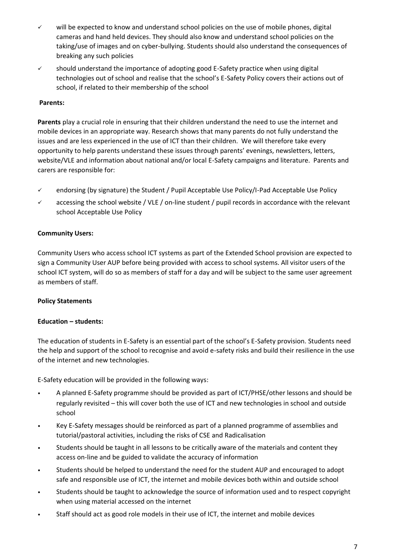- ✓ will be expected to know and understand school policies on the use of mobile phones, digital cameras and hand held devices. They should also know and understand school policies on the taking/use of images and on cyber-bullying. Students should also understand the consequences of breaking any such policies
- $\checkmark$  should understand the importance of adopting good E-Safety practice when using digital technologies out of school and realise that the school's E-Safety Policy covers their actions out of school, if related to their membership of the school

## **Parents:**

**Parents** play a crucial role in ensuring that their children understand the need to use the internet and mobile devices in an appropriate way. Research shows that many parents do not fully understand the issues and are less experienced in the use of ICT than their children. We will therefore take every opportunity to help parents understand these issues through parents' evenings, newsletters, letters, website/VLE and information about national and/or local E-Safety campaigns and literature. Parents and carers are responsible for:

- ✓ endorsing (by signature) the Student / Pupil Acceptable Use Policy/I-Pad Acceptable Use Policy
- $\checkmark$  accessing the school website / VLE / on-line student / pupil records in accordance with the relevant school Acceptable Use Policy

## **Community Users:**

Community Users who access school ICT systems as part of the Extended School provision are expected to sign a Community User AUP before being provided with access to school systems. All visitor users of the school ICT system, will do so as members of staff for a day and will be subject to the same user agreement as members of staff.

## **Policy Statements**

## **Education – students:**

The education of students in E-Safety is an essential part of the school's E-Safety provision. Students need the help and support of the school to recognise and avoid e-safety risks and build their resilience in the use of the internet and new technologies.

E-Safety education will be provided in the following ways:

- A planned E-Safety programme should be provided as part of ICT/PHSE/other lessons and should be regularly revisited – this will cover both the use of ICT and new technologies in school and outside school
- Key E-Safety messages should be reinforced as part of a planned programme of assemblies and tutorial/pastoral activities, including the risks of CSE and Radicalisation
- Students should be taught in all lessons to be critically aware of the materials and content they access on-line and be guided to validate the accuracy of information
- Students should be helped to understand the need for the student AUP and encouraged to adopt safe and responsible use of ICT, the internet and mobile devices both within and outside school
- Students should be taught to acknowledge the source of information used and to respect copyright when using material accessed on the internet
- Staff should act as good role models in their use of ICT, the internet and mobile devices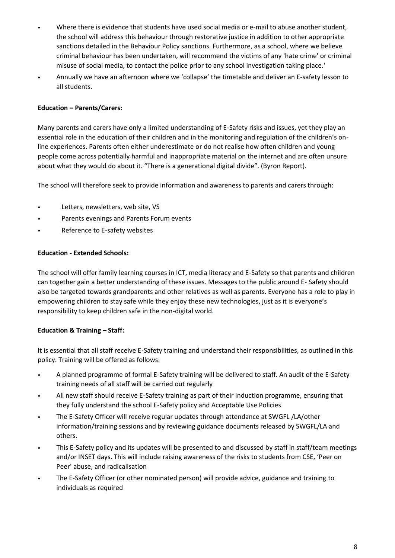- Where there is evidence that students have used social media or e-mail to abuse another student, the school will address this behaviour through restorative justice in addition to other appropriate sanctions detailed in the Behaviour Policy sanctions. Furthermore, as a school, where we believe criminal behaviour has been undertaken, will recommend the victims of any 'hate crime' or criminal misuse of social media, to contact the police prior to any school investigation taking place.'
- Annually we have an afternoon where we 'collapse' the timetable and deliver an E-safety lesson to all students.

## **Education – Parents/Carers:**

Many parents and carers have only a limited understanding of E-Safety risks and issues, yet they play an essential role in the education of their children and in the monitoring and regulation of the children's online experiences. Parents often either underestimate or do not realise how often children and young people come across potentially harmful and inappropriate material on the internet and are often unsure about what they would do about it. "There is a generational digital divide". (Byron Report).

The school will therefore seek to provide information and awareness to parents and carers through:

- Letters, newsletters, web site, VS
- Parents evenings and Parents Forum events
- Reference to E-safety websites

## **Education - Extended Schools:**

The school will offer family learning courses in ICT, media literacy and E-Safety so that parents and children can together gain a better understanding of these issues. Messages to the public around E- Safety should also be targeted towards grandparents and other relatives as well as parents. Everyone has a role to play in empowering children to stay safe while they enjoy these new technologies, just as it is everyone's responsibility to keep children safe in the non-digital world.

# **Education & Training – Staff:**

It is essential that all staff receive E-Safety training and understand their responsibilities, as outlined in this policy. Training will be offered as follows:

- A planned programme of formal E-Safety training will be delivered to staff. An audit of the E-Safety training needs of all staff will be carried out regularly
- All new staff should receive E-Safety training as part of their induction programme, ensuring that they fully understand the school E-Safety policy and Acceptable Use Policies
- The E-Safety Officer will receive regular updates through attendance at SWGFL /LA/other information/training sessions and by reviewing guidance documents released by SWGFL/LA and others.
- This E-Safety policy and its updates will be presented to and discussed by staff in staff/team meetings and/or INSET days. This will include raising awareness of the risks to students from CSE, 'Peer on Peer' abuse, and radicalisation
- The E-Safety Officer (or other nominated person) will provide advice, guidance and training to individuals as required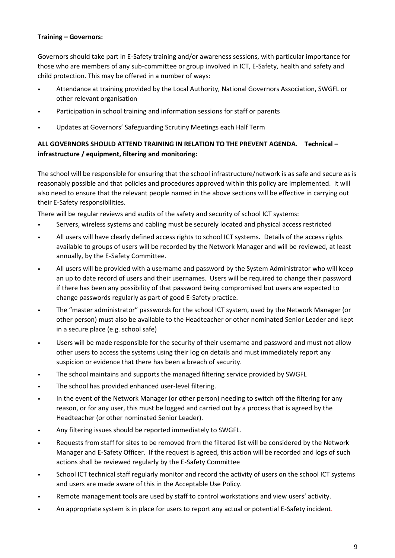## **Training – Governors:**

Governors should take part in E-Safety training and/or awareness sessions, with particular importance for those who are members of any sub-committee or group involved in ICT, E-Safety, health and safety and child protection. This may be offered in a number of ways:

- Attendance at training provided by the Local Authority, National Governors Association, SWGFL or other relevant organisation
- Participation in school training and information sessions for staff or parents
- Updates at Governors' Safeguarding Scrutiny Meetings each Half Term

# **ALL GOVERNORS SHOULD ATTEND TRAINING IN RELATION TO THE PREVENT AGENDA. Technical – infrastructure / equipment, filtering and monitoring:**

The school will be responsible for ensuring that the school infrastructure/network is as safe and secure as is reasonably possible and that policies and procedures approved within this policy are implemented. It will also need to ensure that the relevant people named in the above sections will be effective in carrying out their E-Safety responsibilities.

There will be regular reviews and audits of the safety and security of school ICT systems:

- Servers, wireless systems and cabling must be securely located and physical access restricted
- All users will have clearly defined access rights to school ICT systems**.** Details of the access rights available to groups of users will be recorded by the Network Manager and will be reviewed, at least annually, by the E-Safety Committee.
- All users will be provided with a username and password by the System Administrator who will keep an up to date record of users and their usernames. Users will be required to change their password if there has been any possibility of that password being compromised but users are expected to change passwords regularly as part of good E-Safety practice.
- The "master administrator" passwords for the school ICT system, used by the Network Manager (or other person) must also be available to the Headteacher or other nominated Senior Leader and kept in a secure place (e.g. school safe)
- Users will be made responsible for the security of their username and password and must not allow other users to access the systems using their log on details and must immediately report any suspicion or evidence that there has been a breach of security.
- The school maintains and supports the managed filtering service provided by SWGFL
- The school has provided enhanced user-level filtering.
- In the event of the Network Manager (or other person) needing to switch off the filtering for any reason, or for any user, this must be logged and carried out by a process that is agreed by the Headteacher (or other nominated Senior Leader).
- Any filtering issues should be reported immediately to SWGFL.
- Requests from staff for sites to be removed from the filtered list will be considered by the Network Manager and E-Safety Officer. If the request is agreed, this action will be recorded and logs of such actions shall be reviewed regularly by the E-Safety Committee
- School ICT technical staff regularly monitor and record the activity of users on the school ICT systems and users are made aware of this in the Acceptable Use Policy.
- Remote management tools are used by staff to control workstations and view users' activity.
- An appropriate system is in place for users to report any actual or potential E-Safety incident.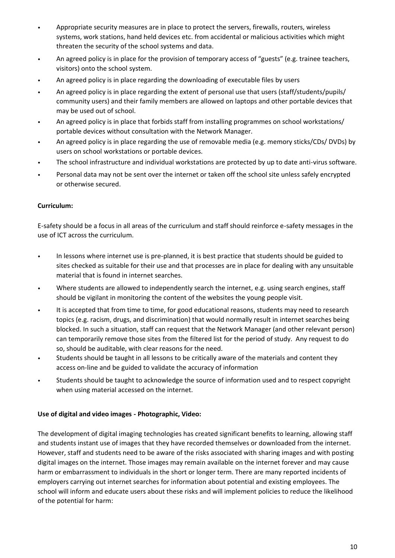- Appropriate security measures are in place to protect the servers, firewalls, routers, wireless systems, work stations, hand held devices etc. from accidental or malicious activities which might threaten the security of the school systems and data.
- An agreed policy is in place for the provision of temporary access of "guests" (e.g. trainee teachers, visitors) onto the school system.
- An agreed policy is in place regarding the downloading of executable files by users
- An agreed policy is in place regarding the extent of personal use that users (staff/students/pupils/ community users) and their family members are allowed on laptops and other portable devices that may be used out of school.
- An agreed policy is in place that forbids staff from installing programmes on school workstations/ portable devices without consultation with the Network Manager.
- An agreed policy is in place regarding the use of removable media (e.g. memory sticks/CDs/ DVDs) by users on school workstations or portable devices.
- The school infrastructure and individual workstations are protected by up to date anti-virus software.
- Personal data may not be sent over the internet or taken off the school site unless safely encrypted or otherwise secured.

## **Curriculum:**

E-safety should be a focus in all areas of the curriculum and staff should reinforce e-safety messages in the use of ICT across the curriculum.

- In lessons where internet use is pre-planned, it is best practice that students should be guided to sites checked as suitable for their use and that processes are in place for dealing with any unsuitable material that is found in internet searches.
- Where students are allowed to independently search the internet, e.g. using search engines, staff should be vigilant in monitoring the content of the websites the young people visit.
- It is accepted that from time to time, for good educational reasons, students may need to research topics (e.g. racism, drugs, and discrimination) that would normally result in internet searches being blocked. In such a situation, staff can request that the Network Manager (and other relevant person) can temporarily remove those sites from the filtered list for the period of study. Any request to do so, should be auditable, with clear reasons for the need.
- Students should be taught in all lessons to be critically aware of the materials and content they access on-line and be guided to validate the accuracy of information
- Students should be taught to acknowledge the source of information used and to respect copyright when using material accessed on the internet.

## **Use of digital and video images - Photographic, Video:**

The development of digital imaging technologies has created significant benefits to learning, allowing staff and students instant use of images that they have recorded themselves or downloaded from the internet. However, staff and students need to be aware of the risks associated with sharing images and with posting digital images on the internet. Those images may remain available on the internet forever and may cause harm or embarrassment to individuals in the short or longer term. There are many reported incidents of employers carrying out internet searches for information about potential and existing employees. The school will inform and educate users about these risks and will implement policies to reduce the likelihood of the potential for harm: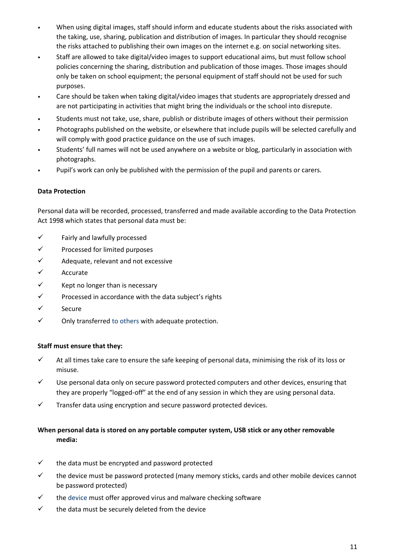- When using digital images, staff should inform and educate students about the risks associated with the taking, use, sharing, publication and distribution of images. In particular they should recognise the risks attached to publishing their own images on the internet e.g. on social networking sites.
- Staff are allowed to take digital/video images to support educational aims, but must follow school policies concerning the sharing, distribution and publication of those images. Those images should only be taken on school equipment; the personal equipment of staff should not be used for such purposes.
- Care should be taken when taking digital/video images that students are appropriately dressed and are not participating in activities that might bring the individuals or the school into disrepute.
- Students must not take, use, share, publish or distribute images of others without their permission
- Photographs published on the website, or elsewhere that include pupils will be selected carefully and will comply with good practice guidance on the use of such images.
- Students' full names will not be used anywhere on a website or blog, particularly in association with photographs.
- Pupil's work can only be published with the permission of the pupil and parents or carers.

### **Data Protection**

Personal data will be recorded, processed, transferred and made available according to the Data Protection Act 1998 which states that personal data must be:

- ✓ Fairly and lawfully processed
- ✓ Processed for limited purposes
- $\checkmark$  Adequate, relevant and not excessive
- ✓ Accurate
- $\checkmark$  Kept no longer than is necessary
- ✓ Processed in accordance with the data subject's rights
- ✓ Secure
- $\checkmark$  Only transferred to others with adequate protection.

#### **Staff must ensure that they:**

- $\checkmark$  At all times take care to ensure the safe keeping of personal data, minimising the risk of its loss or misuse.
- $\checkmark$  Use personal data only on secure password protected computers and other devices, ensuring that they are properly "logged-off" at the end of any session in which they are using personal data.
- ✓ Transfer data using encryption and secure password protected devices.

# **When personal data is stored on any portable computer system, USB stick or any other removable media:**

- $\checkmark$  the data must be encrypted and password protected
- $\checkmark$  the device must be password protected (many memory sticks, cards and other mobile devices cannot be password protected)
- $\checkmark$  the device must offer approved virus and malware checking software
- $\checkmark$  the data must be securely deleted from the device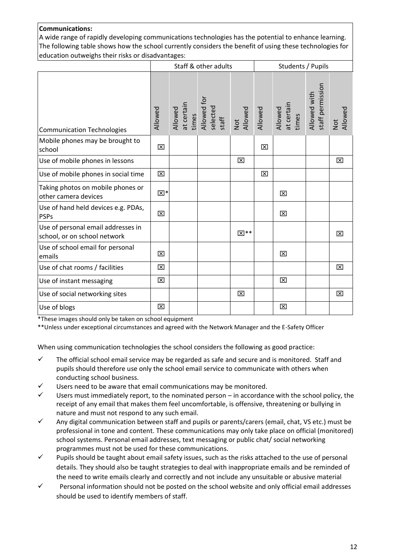## **Communications:**

A wide range of rapidly developing communications technologies has the potential to enhance learning. The following table shows how the school currently considers the benefit of using these technologies for education outweighs their risks or disadvantages:

|                                                                    | Staff & other adults<br>Students / Pupils |  |                                                                                  |             |         |                                |                                  |                |
|--------------------------------------------------------------------|-------------------------------------------|--|----------------------------------------------------------------------------------|-------------|---------|--------------------------------|----------------------------------|----------------|
| <b>Communication Technologies</b>                                  | Allowed                                   |  | Allowed<br>at certain<br>times<br>Allowed for<br>selected<br>staff<br>Not<br>Not |             | Allowed | Allowed<br>at certain<br>times | Allowed with<br>staff permission | Allowed<br>Not |
| Mobile phones may be brought to<br>school                          | ⊠                                         |  |                                                                                  |             | 区       |                                |                                  |                |
| Use of mobile phones in lessons                                    |                                           |  |                                                                                  | 区           |         |                                |                                  | 区              |
| Use of mobile phones in social time                                | 区                                         |  |                                                                                  |             | 区       |                                |                                  |                |
| Taking photos on mobile phones or<br>other camera devices          | ⊠*                                        |  |                                                                                  |             |         | 区                              |                                  |                |
| Use of hand held devices e.g. PDAs,<br><b>PSPs</b>                 | 区                                         |  |                                                                                  |             |         | 区                              |                                  |                |
| Use of personal email addresses in<br>school, or on school network |                                           |  |                                                                                  | <b>X</b> ** |         |                                |                                  | 区              |
| Use of school email for personal<br>emails                         | ⊠                                         |  |                                                                                  |             |         | 区                              |                                  |                |
| Use of chat rooms / facilities                                     | ⊠                                         |  |                                                                                  |             |         |                                |                                  | 区              |
| Use of instant messaging                                           | 区                                         |  |                                                                                  |             |         | 区                              |                                  |                |
| Use of social networking sites                                     |                                           |  |                                                                                  | 区           |         |                                |                                  | 区              |
| Use of blogs                                                       | ⊠                                         |  |                                                                                  |             |         | 図                              |                                  |                |

\*These images should only be taken on school equipment

\*\*Unless under exceptional circumstances and agreed with the Network Manager and the E-Safety Officer

When using communication technologies the school considers the following as good practice:

- $\checkmark$  The official school email service may be regarded as safe and secure and is monitored. Staff and pupils should therefore use only the school email service to communicate with others when conducting school business.
- $\checkmark$  Users need to be aware that email communications may be monitored.
- $\checkmark$  Users must immediately report, to the nominated person in accordance with the school policy, the receipt of any email that makes them feel uncomfortable, is offensive, threatening or bullying in nature and must not respond to any such email.
- Any digital communication between staff and pupils or parents/carers (email, chat, VS etc.) must be professional in tone and content. These communications may only take place on official (monitored) school systems. Personal email addresses, text messaging or public chat/ social networking programmes must not be used for these communications.
- $\checkmark$  Pupils should be taught about email safety issues, such as the risks attached to the use of personal details. They should also be taught strategies to deal with inappropriate emails and be reminded of the need to write emails clearly and correctly and not include any unsuitable or abusive material
- $\checkmark$  Personal information should not be posted on the school website and only official email addresses should be used to identify members of staff.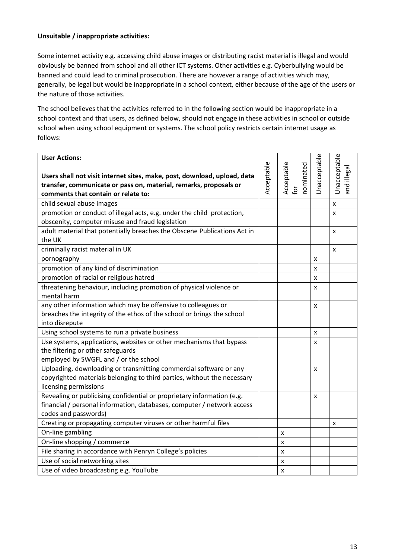## **Unsuitable / inappropriate activities:**

Some internet activity e.g. accessing child abuse images or distributing racist material is illegal and would obviously be banned from school and all other ICT systems. Other activities e.g. Cyberbullying would be banned and could lead to criminal prosecution. There are however a range of activities which may, generally, be legal but would be inappropriate in a school context, either because of the age of the users or the nature of those activities.

The school believes that the activities referred to in the following section would be inappropriate in a school context and that users, as defined below, should not engage in these activities in school or outside school when using school equipment or systems. The school policy restricts certain internet usage as follows:

| <b>User Actions:</b><br>Users shall not visit internet sites, make, post, download, upload, data                           | Acceptable | Acceptable<br>nominated | Unacceptable | Unacceptable<br>and illegal |
|----------------------------------------------------------------------------------------------------------------------------|------------|-------------------------|--------------|-----------------------------|
| transfer, communicate or pass on, material, remarks, proposals or                                                          |            | $\tilde{\sigma}$        |              |                             |
| comments that contain or relate to:                                                                                        |            |                         |              |                             |
| child sexual abuse images                                                                                                  |            |                         |              | x                           |
| promotion or conduct of illegal acts, e.g. under the child protection,<br>obscenity, computer misuse and fraud legislation |            |                         |              | x                           |
| adult material that potentially breaches the Obscene Publications Act in                                                   |            |                         |              |                             |
| the UK                                                                                                                     |            |                         |              | x                           |
| criminally racist material in UK                                                                                           |            |                         |              | x                           |
| pornography                                                                                                                |            |                         | X            |                             |
| promotion of any kind of discrimination                                                                                    |            |                         | X            |                             |
| promotion of racial or religious hatred                                                                                    |            |                         | x            |                             |
| threatening behaviour, including promotion of physical violence or                                                         |            |                         | X            |                             |
| mental harm                                                                                                                |            |                         |              |                             |
| any other information which may be offensive to colleagues or                                                              |            |                         | X            |                             |
| breaches the integrity of the ethos of the school or brings the school                                                     |            |                         |              |                             |
| into disrepute                                                                                                             |            |                         |              |                             |
| Using school systems to run a private business                                                                             |            |                         | X            |                             |
| Use systems, applications, websites or other mechanisms that bypass                                                        |            |                         | X            |                             |
| the filtering or other safeguards                                                                                          |            |                         |              |                             |
| employed by SWGFL and / or the school                                                                                      |            |                         |              |                             |
| Uploading, downloading or transmitting commercial software or any                                                          |            |                         | X            |                             |
| copyrighted materials belonging to third parties, without the necessary                                                    |            |                         |              |                             |
| licensing permissions                                                                                                      |            |                         |              |                             |
| Revealing or publicising confidential or proprietary information (e.g.                                                     |            |                         | X            |                             |
| financial / personal information, databases, computer / network access                                                     |            |                         |              |                             |
| codes and passwords)                                                                                                       |            |                         |              |                             |
| Creating or propagating computer viruses or other harmful files                                                            |            |                         |              | X                           |
| On-line gambling                                                                                                           |            | x                       |              |                             |
| On-line shopping / commerce                                                                                                |            | x                       |              |                             |
| File sharing in accordance with Penryn College's policies                                                                  |            | x                       |              |                             |
| Use of social networking sites                                                                                             |            | x                       |              |                             |
| Use of video broadcasting e.g. YouTube                                                                                     |            | X                       |              |                             |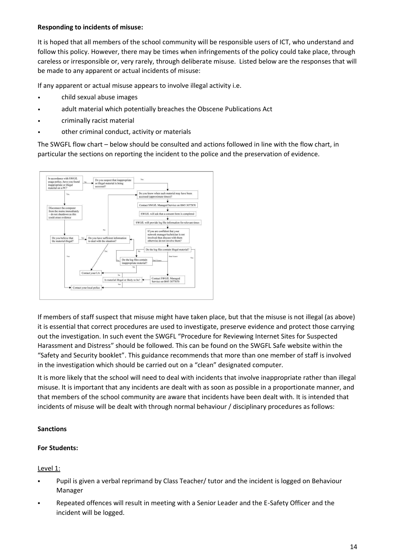## **Responding to incidents of misuse:**

It is hoped that all members of the school community will be responsible users of ICT, who understand and follow this policy. However, there may be times when infringements of the policy could take place, through careless or irresponsible or, very rarely, through deliberate misuse. Listed below are the responses that will be made to any apparent or actual incidents of misuse:

If any apparent or actual misuse appears to involve illegal activity i.e.

- child sexual abuse images
- adult material which potentially breaches the Obscene Publications Act
- criminally racist material
- other criminal conduct, activity or materials

The SWGFL flow chart – below should be consulted and actions followed in line with the flow chart, in particular the sections on reporting the incident to the police and the preservation of evidence.



If members of staff suspect that misuse might have taken place, but that the misuse is not illegal (as above) it is essential that correct procedures are used to investigate, preserve evidence and protect those carrying out the investigation. In such event the SWGFL "Procedure for Reviewing Internet Sites for Suspected Harassment and Distress" should be followed. This can be found on the SWGFL Safe website within the "Safety and Security booklet". This guidance recommends that more than one member of staff is involved in the investigation which should be carried out on a "clean" designated computer.

It is more likely that the school will need to deal with incidents that involve inappropriate rather than illegal misuse. It is important that any incidents are dealt with as soon as possible in a proportionate manner, and that members of the school community are aware that incidents have been dealt with. It is intended that incidents of misuse will be dealt with through normal behaviour / disciplinary procedures as follows:

## **Sanctions**

## **For Students:**

## Level 1:

- Pupil is given a verbal reprimand by Class Teacher/ tutor and the incident is logged on Behaviour Manager
- Repeated offences will result in meeting with a Senior Leader and the E-Safety Officer and the incident will be logged.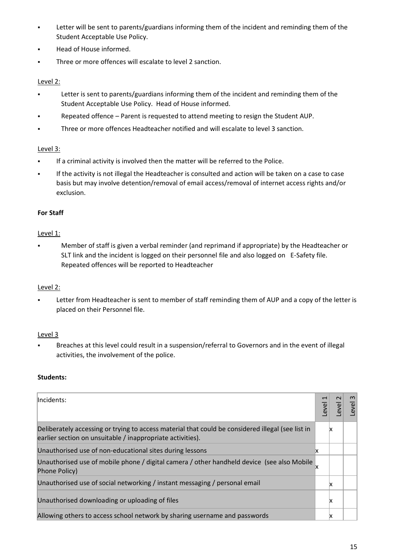- **EXECTED Letter will be sent to parents/guardians informing them of the incident and reminding them of the** Student Acceptable Use Policy.
- Head of House informed.
- Three or more offences will escalate to level 2 sanction.

## Level 2:

- **•** Letter is sent to parents/guardians informing them of the incident and reminding them of the Student Acceptable Use Policy. Head of House informed.
- Repeated offence Parent is requested to attend meeting to resign the Student AUP.
- Three or more offences Headteacher notified and will escalate to level 3 sanction.

## Level 3:

- If a criminal activity is involved then the matter will be referred to the Police.
- If the activity is not illegal the Headteacher is consulted and action will be taken on a case to case basis but may involve detention/removal of email access/removal of internet access rights and/or exclusion.

## **For Staff**

## Level 1:

Member of staff is given a verbal reminder (and reprimand if appropriate) by the Headteacher or SLT link and the incident is logged on their personnel file and also logged on E-Safety file. Repeated offences will be reported to Headteacher

## Level 2:

Letter from Headteacher is sent to member of staff reminding them of AUP and a copy of the letter is placed on their Personnel file.

## Level 3

Breaches at this level could result in a suspension/referral to Governors and in the event of illegal activities, the involvement of the police.

# **Students:**

| Incidents:                                                                                                                                                      | $\frac{1}{2}$ |    | $\omega$<br>evel |
|-----------------------------------------------------------------------------------------------------------------------------------------------------------------|---------------|----|------------------|
| Deliberately accessing or trying to access material that could be considered illegal (see list in<br>earlier section on unsuitable / inappropriate activities). |               | ΙX |                  |
| Unauthorised use of non-educational sites during lessons                                                                                                        |               |    |                  |
| Unauthorised use of mobile phone / digital camera / other handheld device (see also Mobile<br>Phone Policy)                                                     |               |    |                  |
| Unauthorised use of social networking / instant messaging / personal email                                                                                      |               | ΙX |                  |
| Unauthorised downloading or uploading of files                                                                                                                  |               | ΙX |                  |
| Allowing others to access school network by sharing username and passwords                                                                                      |               | ΙX |                  |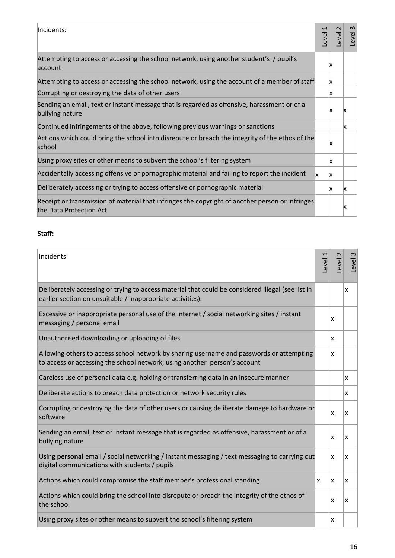| Incidents:                                                                                                                 | Level | $\sim$<br><b>Level</b> | $\omega$<br>Level |
|----------------------------------------------------------------------------------------------------------------------------|-------|------------------------|-------------------|
| Attempting to access or accessing the school network, using another student's / pupil's<br>account                         |       | x                      |                   |
| Attempting to access or accessing the school network, using the account of a member of staff                               |       | x                      |                   |
| Corrupting or destroying the data of other users                                                                           |       | x                      |                   |
| Sending an email, text or instant message that is regarded as offensive, harassment or of a<br>bullying nature             |       | x                      | x                 |
| Continued infringements of the above, following previous warnings or sanctions                                             |       |                        | x                 |
| Actions which could bring the school into disrepute or breach the integrity of the ethos of the<br>school                  |       | x                      |                   |
| Using proxy sites or other means to subvert the school's filtering system                                                  |       | x                      |                   |
| Accidentally accessing offensive or pornographic material and failing to report the incident                               | lх.   | x                      |                   |
| Deliberately accessing or trying to access offensive or pornographic material                                              |       | x                      | x                 |
| Receipt or transmission of material that infringes the copyright of another person or infringes<br>the Data Protection Act |       |                        | x                 |

## **Staff:**

| Incidents:                                                                                                                                                            | Level | 2<br>Level | Level 3 |
|-----------------------------------------------------------------------------------------------------------------------------------------------------------------------|-------|------------|---------|
| Deliberately accessing or trying to access material that could be considered illegal (see list in<br>earlier section on unsuitable / inappropriate activities).       |       |            | x       |
| Excessive or inappropriate personal use of the internet / social networking sites / instant<br>messaging / personal email                                             |       | x          |         |
| Unauthorised downloading or uploading of files                                                                                                                        |       | x          |         |
| Allowing others to access school network by sharing username and passwords or attempting<br>to access or accessing the school network, using another person's account |       | x          |         |
| Careless use of personal data e.g. holding or transferring data in an insecure manner                                                                                 |       |            | x       |
| Deliberate actions to breach data protection or network security rules                                                                                                |       |            | x       |
| Corrupting or destroying the data of other users or causing deliberate damage to hardware or<br>software                                                              |       | x          | x       |
| Sending an email, text or instant message that is regarded as offensive, harassment or of a<br>bullying nature                                                        |       | x          | x       |
| Using personal email / social networking / instant messaging / text messaging to carrying out<br>digital communications with students / pupils                        |       | x          | x       |
| Actions which could compromise the staff member's professional standing                                                                                               | x     | x          | x       |
| Actions which could bring the school into disrepute or breach the integrity of the ethos of<br>the school                                                             |       | x          | x       |
| Using proxy sites or other means to subvert the school's filtering system                                                                                             |       | x          |         |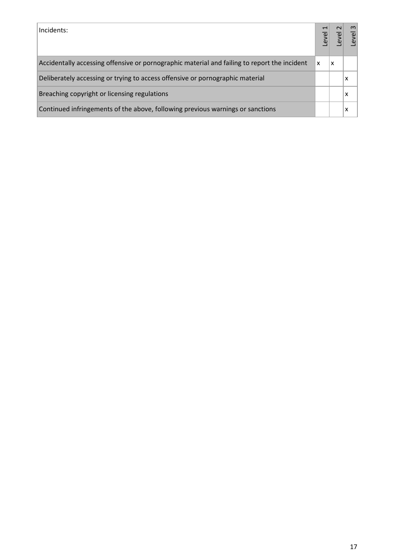| Incidents:                                                                                   |   | $\sim$ | $\infty$<br>evel |
|----------------------------------------------------------------------------------------------|---|--------|------------------|
| Accidentally accessing offensive or pornographic material and failing to report the incident | X | x      |                  |
| Deliberately accessing or trying to access offensive or pornographic material                |   |        | x                |
| Breaching copyright or licensing regulations                                                 |   |        | х                |
| Continued infringements of the above, following previous warnings or sanctions               |   |        | х                |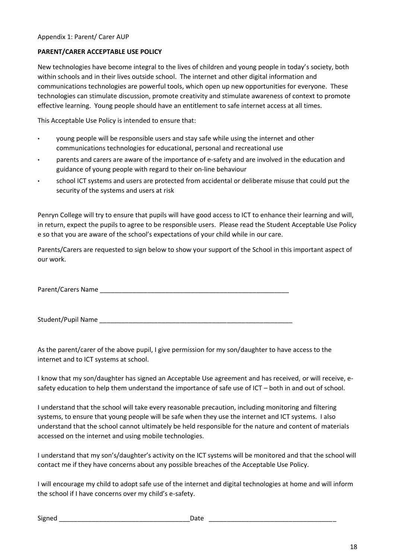### **PARENT/CARER ACCEPTABLE USE POLICY**

New technologies have become integral to the lives of children and young people in today's society, both within schools and in their lives outside school. The internet and other digital information and communications technologies are powerful tools, which open up new opportunities for everyone. These technologies can stimulate discussion, promote creativity and stimulate awareness of context to promote effective learning. Young people should have an entitlement to safe internet access at all times.

This Acceptable Use Policy is intended to ensure that:

- young people will be responsible users and stay safe while using the internet and other communications technologies for educational, personal and recreational use
- parents and carers are aware of the importance of e-safety and are involved in the education and guidance of young people with regard to their on-line behaviour
- school ICT systems and users are protected from accidental or deliberate misuse that could put the security of the systems and users at risk

Penryn College will try to ensure that pupils will have good access to ICT to enhance their learning and will, in return, expect the pupils to agree to be responsible users. Please read the Student Acceptable Use Policy e so that you are aware of the school's expectations of your child while in our care.

Parents/Carers are requested to sign below to show your support of the School in this important aspect of our work.

Parent/Carers Name \_\_\_\_\_\_\_\_\_\_\_\_\_\_\_\_\_\_\_\_\_\_\_\_\_\_\_\_\_\_\_\_\_\_\_\_\_\_\_\_\_\_\_\_\_\_\_\_\_\_\_\_

Student/Pupil Name

As the parent/carer of the above pupil, I give permission for my son/daughter to have access to the internet and to ICT systems at school.

I know that my son/daughter has signed an Acceptable Use agreement and has received, or will receive, esafety education to help them understand the importance of safe use of ICT – both in and out of school.

I understand that the school will take every reasonable precaution, including monitoring and filtering systems, to ensure that young people will be safe when they use the internet and ICT systems. I also understand that the school cannot ultimately be held responsible for the nature and content of materials accessed on the internet and using mobile technologies.

I understand that my son's/daughter's activity on the ICT systems will be monitored and that the school will contact me if they have concerns about any possible breaches of the Acceptable Use Policy.

I will encourage my child to adopt safe use of the internet and digital technologies at home and will inform the school if I have concerns over my child's e-safety.

Signed \_\_\_\_\_\_\_\_\_\_\_\_\_\_\_\_\_\_\_\_\_\_\_\_\_\_\_\_\_\_\_\_\_\_\_\_Date \_\_\_\_\_\_\_\_\_\_\_\_\_\_\_\_\_\_\_\_\_\_\_\_\_\_\_\_\_\_\_\_\_\_\_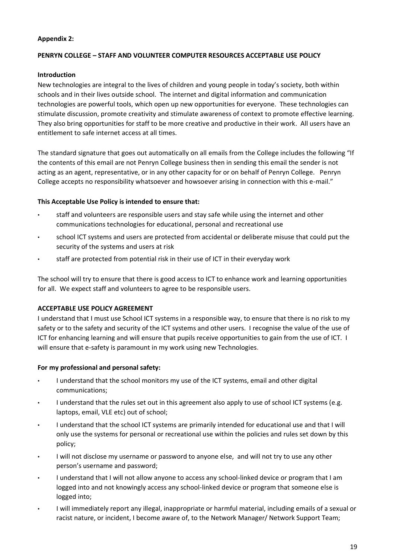## **Appendix 2:**

### **PENRYN COLLEGE – STAFF AND VOLUNTEER COMPUTER RESOURCES ACCEPTABLE USE POLICY**

### **Introduction**

New technologies are integral to the lives of children and young people in today's society, both within schools and in their lives outside school. The internet and digital information and communication technologies are powerful tools, which open up new opportunities for everyone. These technologies can stimulate discussion, promote creativity and stimulate awareness of context to promote effective learning. They also bring opportunities for staff to be more creative and productive in their work. All users have an entitlement to safe internet access at all times.

The standard signature that goes out automatically on all emails from the College includes the following "If the contents of this email are not Penryn College business then in sending this email the sender is not acting as an agent, representative, or in any other capacity for or on behalf of Penryn College. Penryn College accepts no responsibility whatsoever and howsoever arising in connection with this e-mail."

### **This Acceptable Use Policy is intended to ensure that:**

- staff and volunteers are responsible users and stay safe while using the internet and other communications technologies for educational, personal and recreational use
- school ICT systems and users are protected from accidental or deliberate misuse that could put the security of the systems and users at risk
- staff are protected from potential risk in their use of ICT in their everyday work

The school will try to ensure that there is good access to ICT to enhance work and learning opportunities for all. We expect staff and volunteers to agree to be responsible users.

## **ACCEPTABLE USE POLICY AGREEMENT**

I understand that I must use School ICT systems in a responsible way, to ensure that there is no risk to my safety or to the safety and security of the ICT systems and other users. I recognise the value of the use of ICT for enhancing learning and will ensure that pupils receive opportunities to gain from the use of ICT. I will ensure that e-safety is paramount in my work using new Technologies.

## **For my professional and personal safety:**

- I understand that the school monitors my use of the ICT systems, email and other digital communications;
- I understand that the rules set out in this agreement also apply to use of school ICT systems (e.g. laptops, email, VLE etc) out of school;
- I understand that the school ICT systems are primarily intended for educational use and that I will only use the systems for personal or recreational use within the policies and rules set down by this policy;
- I will not disclose my username or password to anyone else, and will not try to use any other person's username and password;
- I understand that I will not allow anyone to access any school-linked device or program that I am logged into and not knowingly access any school-linked device or program that someone else is logged into;
- I will immediately report any illegal, inappropriate or harmful material, including emails of a sexual or racist nature, or incident, I become aware of, to the Network Manager/ Network Support Team;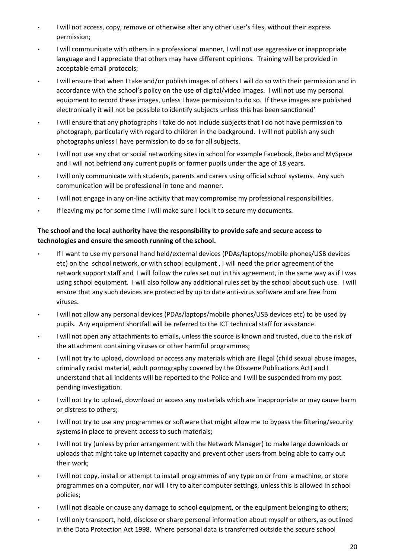- I will not access, copy, remove or otherwise alter any other user's files, without their express permission;
- I will communicate with others in a professional manner, I will not use aggressive or inappropriate language and I appreciate that others may have different opinions. Training will be provided in acceptable email protocols;
- I will ensure that when I take and/or publish images of others I will do so with their permission and in accordance with the school's policy on the use of digital/video images. I will not use my personal equipment to record these images, unless I have permission to do so. If these images are published electronically it will not be possible to identify subjects unless this has been sanctioned'
- I will ensure that any photographs I take do not include subjects that I do not have permission to photograph, particularly with regard to children in the background. I will not publish any such photographs unless I have permission to do so for all subjects.
- I will not use any chat or social networking sites in school for example Facebook, Bebo and MySpace and I will not befriend any current pupils or former pupils under the age of 18 years.
- I will only communicate with students, parents and carers using official school systems. Any such communication will be professional in tone and manner.
- I will not engage in any on-line activity that may compromise my professional responsibilities.
- If leaving my pc for some time I will make sure I lock it to secure my documents.

# **The school and the local authority have the responsibility to provide safe and secure access to technologies and ensure the smooth running of the school.**

- If I want to use my personal hand held/external devices (PDAs/laptops/mobile phones/USB devices etc) on the school network, or with school equipment , I will need the prior agreement of the network support staff and I will follow the rules set out in this agreement, in the same way as if I was using school equipment. I will also follow any additional rules set by the school about such use. I will ensure that any such devices are protected by up to date anti-virus software and are free from viruses.
- I will not allow any personal devices (PDAs/laptops/mobile phones/USB devices etc) to be used by pupils. Any equipment shortfall will be referred to the ICT technical staff for assistance.
- I will not open any attachments to emails, unless the source is known and trusted, due to the risk of the attachment containing viruses or other harmful programmes;
- I will not try to upload, download or access any materials which are illegal (child sexual abuse images, criminally racist material, adult pornography covered by the Obscene Publications Act) and I understand that all incidents will be reported to the Police and I will be suspended from my post pending investigation.
- I will not try to upload, download or access any materials which are inappropriate or may cause harm or distress to others;
- I will not try to use any programmes or software that might allow me to bypass the filtering/security systems in place to prevent access to such materials;
- I will not try (unless by prior arrangement with the Network Manager) to make large downloads or uploads that might take up internet capacity and prevent other users from being able to carry out their work;
- I will not copy, install or attempt to install programmes of any type on or from a machine, or store programmes on a computer, nor will I try to alter computer settings, unless this is allowed in school policies;
- I will not disable or cause any damage to school equipment, or the equipment belonging to others;
- I will only transport, hold, disclose or share personal information about myself or others, as outlined in the Data Protection Act 1998. Where personal data is transferred outside the secure school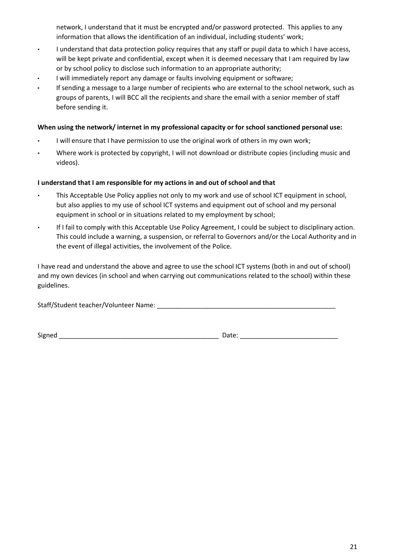network, I understand that it must be encrypted and/or password protected. This applies to any information that allows the identification of an individual, including students' work;

- I understand that data protection policy requires that any staff or pupil data to which I have access, will be kept private and confidential, except when it is deemed necessary that I am required by law or by school policy to disclose such information to an appropriate authority;
- I will immediately report any damage or faults involving equipment or software;
- If sending a message to a large number of recipients who are external to the school network, such as groups of parents, I will BCC all the recipients and share the email with a senior member of staff before sending it.

### **When using the network/ internet in my professional capacity or for school sanctioned personal use:**

- I will ensure that I have permission to use the original work of others in my own work;
- Where work is protected by copyright, I will not download or distribute copies (including music and videos).

## **I understand that I am responsible for my actions in and out of school and that**

- This Acceptable Use Policy applies not only to my work and use of school ICT equipment in school, but also applies to my use of school ICT systems and equipment out of school and my personal equipment in school or in situations related to my employment by school;
- If I fail to comply with this Acceptable Use Policy Agreement, I could be subject to disciplinary action. This could include a warning, a suspension, or referral to Governors and/or the Local Authority and in the event of illegal activities, the involvement of the Police.

I have read and understand the above and agree to use the school ICT systems (both in and out of school) and my own devices (in school and when carrying out communications related to the school) within these guidelines.

Staff/Student teacher/Volunteer Name: \_\_\_\_\_\_\_\_\_\_\_\_\_\_\_\_\_\_\_\_\_\_\_\_\_\_\_\_\_\_\_\_\_\_\_\_\_\_\_\_\_\_\_\_\_\_\_\_\_

Signed \_\_\_\_\_\_\_\_\_\_\_\_\_\_\_\_\_\_\_\_\_\_\_\_\_\_\_\_\_\_\_\_\_\_\_\_\_\_\_\_\_\_\_\_ Date: \_\_\_\_\_\_\_\_\_\_\_\_\_\_\_\_\_\_\_\_\_\_\_\_\_\_\_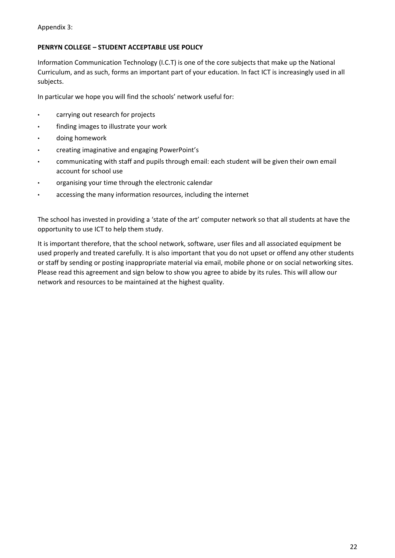# **PENRYN COLLEGE – STUDENT ACCEPTABLE USE POLICY**

Information Communication Technology (I.C.T) is one of the core subjects that make up the National Curriculum, and as such, forms an important part of your education. In fact ICT is increasingly used in all subjects.

In particular we hope you will find the schools' network useful for:

- carrying out research for projects
- finding images to illustrate your work
- doing homework
- creating imaginative and engaging PowerPoint's
- communicating with staff and pupils through email: each student will be given their own email account for school use
- organising your time through the electronic calendar
- accessing the many information resources, including the internet

The school has invested in providing a 'state of the art' computer network so that all students at have the opportunity to use ICT to help them study.

It is important therefore, that the school network, software, user files and all associated equipment be used properly and treated carefully. It is also important that you do not upset or offend any other students or staff by sending or posting inappropriate material via email, mobile phone or on social networking sites. Please read this agreement and sign below to show you agree to abide by its rules. This will allow our network and resources to be maintained at the highest quality.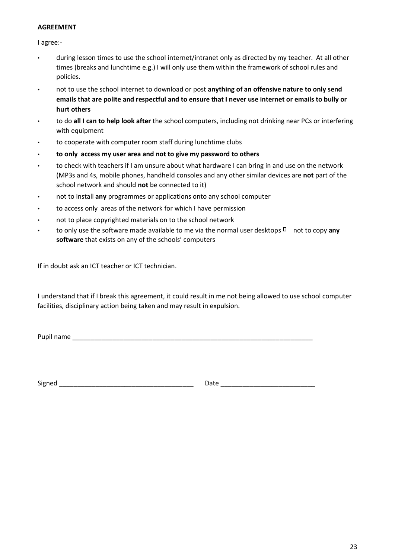### **AGREEMENT**

I agree:-

- during lesson times to use the school internet/intranet only as directed by my teacher. At all other times (breaks and lunchtime e.g.) I will only use them within the framework of school rules and policies.
- not to use the school internet to download or post **anything of an offensive nature to only send emails that are polite and respectful and to ensure that I never use internet or emails to bully or hurt others**
- to do **all I can to help look after** the school computers, including not drinking near PCs or interfering with equipment
- to cooperate with computer room staff during lunchtime clubs
- **to only access my user area and not to give my password to others**
- to check with teachers if I am unsure about what hardware I can bring in and use on the network (MP3s and 4s, mobile phones, handheld consoles and any other similar devices are **not** part of the school network and should **not** be connected to it)
- not to install **any** programmes or applications onto any school computer
- to access only areas of the network for which I have permission
- not to place copyrighted materials on to the school network
- to only use the software made available to me via the normal user desktops  $\Box$  not to copy any **software** that exists on any of the schools' computers

If in doubt ask an ICT teacher or ICT technician.

I understand that if I break this agreement, it could result in me not being allowed to use school computer facilities, disciplinary action being taken and may result in expulsion.

Pupil name \_\_\_\_\_\_\_\_\_\_\_\_\_\_\_\_\_\_\_\_\_\_\_\_\_\_\_\_\_\_\_\_\_\_\_\_\_\_\_\_\_\_\_\_\_\_\_\_\_\_\_\_\_\_\_\_\_\_\_\_\_\_\_\_\_\_

Signed \_\_\_\_\_\_\_\_\_\_\_\_\_\_\_\_\_\_\_\_\_\_\_\_\_\_\_\_\_\_\_\_\_\_\_\_\_ Date \_\_\_\_\_\_\_\_\_\_\_\_\_\_\_\_\_\_\_\_\_\_\_\_\_\_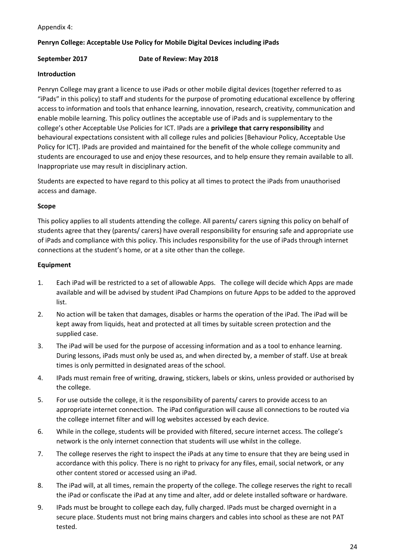Appendix 4:

## **Penryn College: Acceptable Use Policy for Mobile Digital Devices including iPads**

**September 2017 Date of Review: May 2018** 

### **Introduction**

Penryn College may grant a licence to use iPads or other mobile digital devices (together referred to as "iPads" in this policy) to staff and students for the purpose of promoting educational excellence by offering access to information and tools that enhance learning, innovation, research, creativity, communication and enable mobile learning. This policy outlines the acceptable use of iPads and is supplementary to the college's other Acceptable Use Policies for ICT. IPads are a **privilege that carry responsibility** and behavioural expectations consistent with all college rules and policies [Behaviour Policy, Acceptable Use Policy for ICT]. IPads are provided and maintained for the benefit of the whole college community and students are encouraged to use and enjoy these resources, and to help ensure they remain available to all. Inappropriate use may result in disciplinary action.

Students are expected to have regard to this policy at all times to protect the iPads from unauthorised access and damage.

### **Scope**

This policy applies to all students attending the college. All parents/ carers signing this policy on behalf of students agree that they (parents/ carers) have overall responsibility for ensuring safe and appropriate use of iPads and compliance with this policy. This includes responsibility for the use of iPads through internet connections at the student's home, or at a site other than the college.

### **Equipment**

- 1. Each iPad will be restricted to a set of allowable Apps. The college will decide which Apps are made available and will be advised by student iPad Champions on future Apps to be added to the approved list.
- 2. No action will be taken that damages, disables or harms the operation of the iPad. The iPad will be kept away from liquids, heat and protected at all times by suitable screen protection and the supplied case.
- 3. The iPad will be used for the purpose of accessing information and as a tool to enhance learning. During lessons, iPads must only be used as, and when directed by, a member of staff. Use at break times is only permitted in designated areas of the school.
- 4. IPads must remain free of writing, drawing, stickers, labels or skins, unless provided or authorised by the college.
- 5. For use outside the college, it is the responsibility of parents/ carers to provide access to an appropriate internet connection. The iPad configuration will cause all connections to be routed via the college internet filter and will log websites accessed by each device.
- 6. While in the college, students will be provided with filtered, secure internet access. The college's network is the only internet connection that students will use whilst in the college.
- 7. The college reserves the right to inspect the iPads at any time to ensure that they are being used in accordance with this policy. There is no right to privacy for any files, email, social network, or any other content stored or accessed using an iPad.
- 8. The iPad will, at all times, remain the property of the college. The college reserves the right to recall the iPad or confiscate the iPad at any time and alter, add or delete installed software or hardware.
- 9. IPads must be brought to college each day, fully charged. IPads must be charged overnight in a secure place. Students must not bring mains chargers and cables into school as these are not PAT tested.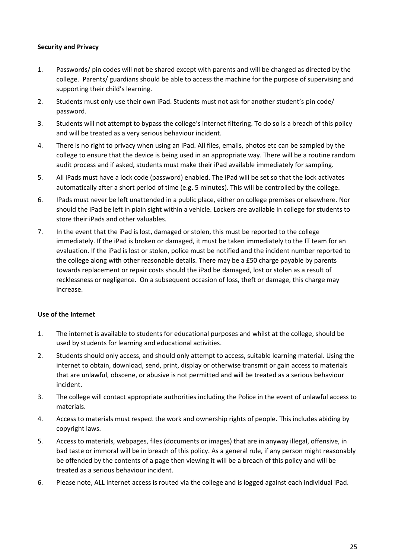## **Security and Privacy**

- 1. Passwords/ pin codes will not be shared except with parents and will be changed as directed by the college. Parents/ guardians should be able to access the machine for the purpose of supervising and supporting their child's learning.
- 2. Students must only use their own iPad. Students must not ask for another student's pin code/ password.
- 3. Students will not attempt to bypass the college's internet filtering. To do so is a breach of this policy and will be treated as a very serious behaviour incident.
- 4. There is no right to privacy when using an iPad. All files, emails, photos etc can be sampled by the college to ensure that the device is being used in an appropriate way. There will be a routine random audit process and if asked, students must make their iPad available immediately for sampling.
- 5. All iPads must have a lock code (password) enabled. The iPad will be set so that the lock activates automatically after a short period of time (e.g. 5 minutes). This will be controlled by the college.
- 6. IPads must never be left unattended in a public place, either on college premises or elsewhere. Nor should the iPad be left in plain sight within a vehicle. Lockers are available in college for students to store their iPads and other valuables.
- 7. In the event that the iPad is lost, damaged or stolen, this must be reported to the college immediately. If the iPad is broken or damaged, it must be taken immediately to the IT team for an evaluation. If the iPad is lost or stolen, police must be notified and the incident number reported to the college along with other reasonable details. There may be a £50 charge payable by parents towards replacement or repair costs should the iPad be damaged, lost or stolen as a result of recklessness or negligence. On a subsequent occasion of loss, theft or damage, this charge may increase.

#### **Use of the Internet**

- 1. The internet is available to students for educational purposes and whilst at the college, should be used by students for learning and educational activities.
- 2. Students should only access, and should only attempt to access, suitable learning material. Using the internet to obtain, download, send, print, display or otherwise transmit or gain access to materials that are unlawful, obscene, or abusive is not permitted and will be treated as a serious behaviour incident.
- 3. The college will contact appropriate authorities including the Police in the event of unlawful access to materials.
- 4. Access to materials must respect the work and ownership rights of people. This includes abiding by copyright laws.
- 5. Access to materials, webpages, files (documents or images) that are in anyway illegal, offensive, in bad taste or immoral will be in breach of this policy. As a general rule, if any person might reasonably be offended by the contents of a page then viewing it will be a breach of this policy and will be treated as a serious behaviour incident.
- 6. Please note, ALL internet access is routed via the college and is logged against each individual iPad.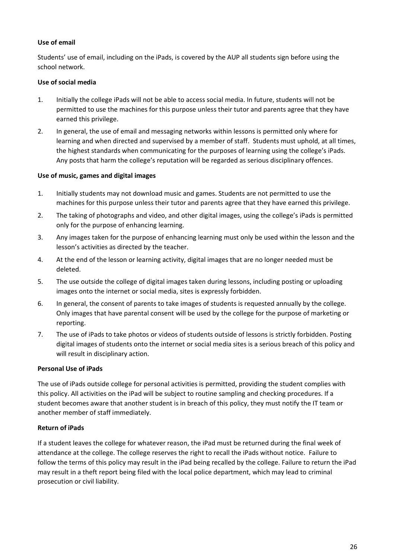## **Use of email**

Students' use of email, including on the iPads, is covered by the AUP all students sign before using the school network.

## **Use of social media**

- 1. Initially the college iPads will not be able to access social media. In future, students will not be permitted to use the machines for this purpose unless their tutor and parents agree that they have earned this privilege.
- 2. In general, the use of email and messaging networks within lessons is permitted only where for learning and when directed and supervised by a member of staff. Students must uphold, at all times, the highest standards when communicating for the purposes of learning using the college's iPads. Any posts that harm the college's reputation will be regarded as serious disciplinary offences.

## **Use of music, games and digital images**

- 1. Initially students may not download music and games. Students are not permitted to use the machines for this purpose unless their tutor and parents agree that they have earned this privilege.
- 2. The taking of photographs and video, and other digital images, using the college's iPads is permitted only for the purpose of enhancing learning.
- 3. Any images taken for the purpose of enhancing learning must only be used within the lesson and the lesson's activities as directed by the teacher.
- 4. At the end of the lesson or learning activity, digital images that are no longer needed must be deleted.
- 5. The use outside the college of digital images taken during lessons, including posting or uploading images onto the internet or social media, sites is expressly forbidden.
- 6. In general, the consent of parents to take images of students is requested annually by the college. Only images that have parental consent will be used by the college for the purpose of marketing or reporting.
- 7. The use of iPads to take photos or videos of students outside of lessons is strictly forbidden. Posting digital images of students onto the internet or social media sites is a serious breach of this policy and will result in disciplinary action.

# **Personal Use of iPads**

The use of iPads outside college for personal activities is permitted, providing the student complies with this policy. All activities on the iPad will be subject to routine sampling and checking procedures. If a student becomes aware that another student is in breach of this policy, they must notify the IT team or another member of staff immediately.

# **Return of iPads**

If a student leaves the college for whatever reason, the iPad must be returned during the final week of attendance at the college. The college reserves the right to recall the iPads without notice. Failure to follow the terms of this policy may result in the iPad being recalled by the college. Failure to return the iPad may result in a theft report being filed with the local police department, which may lead to criminal prosecution or civil liability.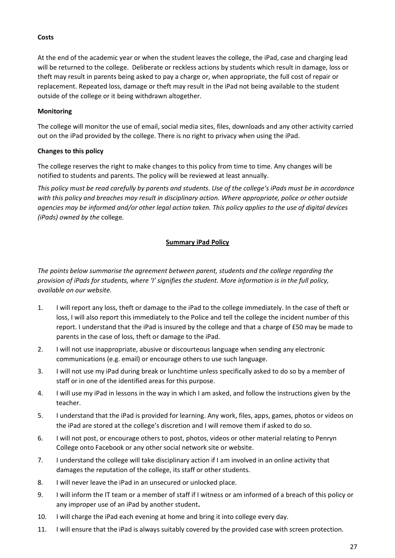### **Costs**

At the end of the academic year or when the student leaves the college, the iPad, case and charging lead will be returned to the college. Deliberate or reckless actions by students which result in damage, loss or theft may result in parents being asked to pay a charge or, when appropriate, the full cost of repair or replacement. Repeated loss, damage or theft may result in the iPad not being available to the student outside of the college or it being withdrawn altogether.

### **Monitoring**

The college will monitor the use of email, social media sites, files, downloads and any other activity carried out on the iPad provided by the college. There is no right to privacy when using the iPad.

### **Changes to this policy**

The college reserves the right to make changes to this policy from time to time. Any changes will be notified to students and parents. The policy will be reviewed at least annually.

*This policy must be read carefully by parents and students. Use of the college's iPads must be in accordance with this policy and breaches may result in disciplinary action. Where appropriate, police or other outside agencies may be informed and/or other legal action taken. This policy applies to the use of digital devices (iPads) owned by the* college*.* 

## **Summary iPad Policy**

*The points below summarise the agreement between parent, students and the college regarding the provision of iPads for students, where 'I' signifies the student. More information is in the full policy, available on our website.* 

- 1. I will report any loss, theft or damage to the iPad to the college immediately. In the case of theft or loss, I will also report this immediately to the Police and tell the college the incident number of this report. I understand that the iPad is insured by the college and that a charge of £50 may be made to parents in the case of loss, theft or damage to the iPad.
- 2. I will not use inappropriate, abusive or discourteous language when sending any electronic communications (e.g. email) or encourage others to use such language.
- 3. I will not use my iPad during break or lunchtime unless specifically asked to do so by a member of staff or in one of the identified areas for this purpose.
- 4. I will use my iPad in lessons in the way in which I am asked, and follow the instructions given by the teacher.
- 5. I understand that the iPad is provided for learning. Any work, files, apps, games, photos or videos on the iPad are stored at the college's discretion and I will remove them if asked to do so.
- 6. I will not post, or encourage others to post, photos, videos or other material relating to Penryn College onto Facebook or any other social network site or website.
- 7. I understand the college will take disciplinary action if I am involved in an online activity that damages the reputation of the college, its staff or other students.
- 8. I will never leave the iPad in an unsecured or unlocked place.
- 9. I will inform the IT team or a member of staff if I witness or am informed of a breach of this policy or any improper use of an iPad by another student**.**
- 10. I will charge the iPad each evening at home and bring it into college every day.
- 11. I will ensure that the iPad is always suitably covered by the provided case with screen protection.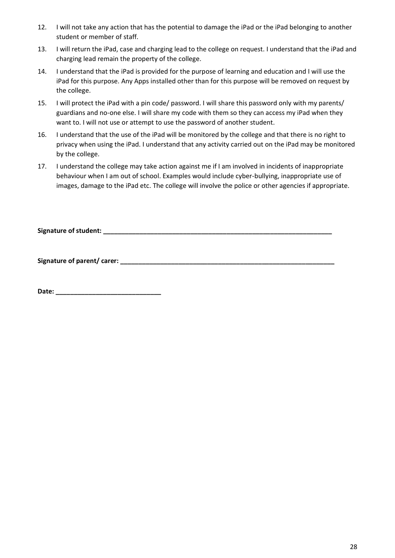- 12. I will not take any action that has the potential to damage the iPad or the iPad belonging to another student or member of staff.
- 13. I will return the iPad, case and charging lead to the college on request. I understand that the iPad and charging lead remain the property of the college.
- 14. I understand that the iPad is provided for the purpose of learning and education and I will use the iPad for this purpose. Any Apps installed other than for this purpose will be removed on request by the college.
- 15. I will protect the iPad with a pin code/ password. I will share this password only with my parents/ guardians and no-one else. I will share my code with them so they can access my iPad when they want to. I will not use or attempt to use the password of another student.
- 16. I understand that the use of the iPad will be monitored by the college and that there is no right to privacy when using the iPad. I understand that any activity carried out on the iPad may be monitored by the college.
- 17. I understand the college may take action against me if I am involved in incidents of inappropriate behaviour when I am out of school. Examples would include cyber-bullying, inappropriate use of images, damage to the iPad etc. The college will involve the police or other agencies if appropriate.

**Signature of student: \_\_\_\_\_\_\_\_\_\_\_\_\_\_\_\_\_\_\_\_\_\_\_\_\_\_\_\_\_\_\_\_\_\_\_\_\_\_\_\_\_\_\_\_\_\_\_\_\_\_\_\_\_\_\_\_\_\_\_\_\_\_\_** 

**Signature of parent/ carer: \_\_\_\_\_\_\_\_\_\_\_\_\_\_\_\_\_\_\_\_\_\_\_\_\_\_\_\_\_\_\_\_\_\_\_\_\_\_\_\_\_\_\_\_\_\_\_\_\_\_\_\_\_\_\_\_\_\_\_** 

**Date: \_\_\_\_\_\_\_\_\_\_\_\_\_\_\_\_\_\_\_\_\_\_\_\_\_\_\_\_\_**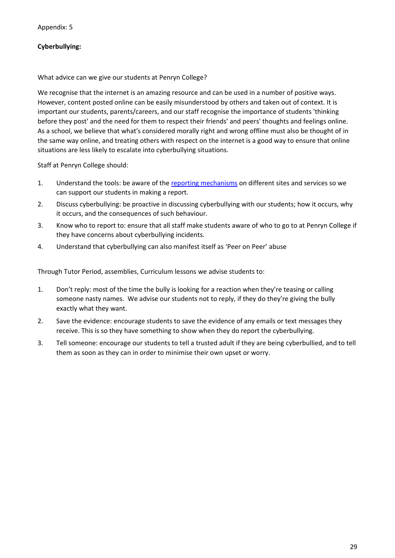## **Cyberbullying:**

What advice can we give our students at Penryn College?

We recognise that the internet is an amazing resource and can be used in a number of positive ways. However, content posted online can be easily misunderstood by others and taken out of context. It is important our students, parents/careers, and our staff recognise the importance of students 'thinking before they post' and the need for them to respect their friends' and peers' thoughts and feelings online. As a school, we believe that what's considered morally right and wrong offline must also be thought of in the same way online, and treating others with respect on the internet is a good way to ensure that online situations are less likely to escalate into cyberbullying situations.

Staff at Penryn College should:

- 1. Understand the tools: be aware of the [reporting mechanisms](http://www.childnet.com/resources/how-to-make-a-report) [on](http://www.childnet.com/resources/how-to-make-a-report) different sites and services so we can support our students in making a report.
- 2. Discuss cyberbullying: be proactive in discussing cyberbullying with our students; how it occurs, why it occurs, and the consequences of such behaviour.
- 3. Know who to report to: ensure that all staff make students aware of who to go to at Penryn College if they have concerns about cyberbullying incidents.
- 4. Understand that cyberbullying can also manifest itself as 'Peer on Peer' abuse

Through Tutor Period, assemblies, Curriculum lessons we advise students to:

- 1. Don't reply: most of the time the bully is looking for a reaction when they're teasing or calling someone nasty names. We advise our students not to reply, if they do they're giving the bully exactly what they want.
- 2. Save the evidence: encourage students to save the evidence of any emails or text messages they receive. This is so they have something to show when they do report the cyberbullying.
- 3. Tell someone: encourage our students to tell a trusted adult if they are being cyberbullied, and to tell them as soon as they can in order to minimise their own upset or worry.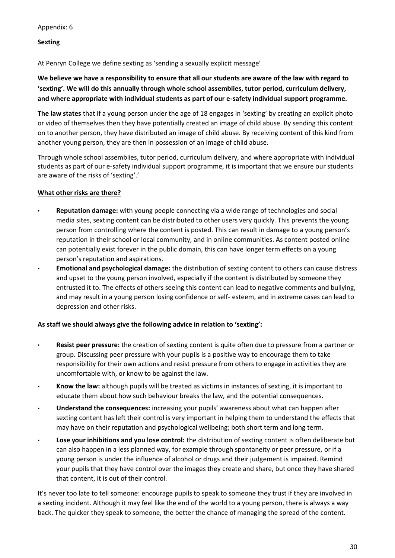### **Sexting**

At Penryn College we define sexting as 'sending a sexually explicit message'

**We believe we have a responsibility to ensure that all our students are aware of the law with regard to 'sexting'. We will do this annually through whole school assemblies, tutor period, curriculum delivery, and where appropriate with individual students as part of our e-safety individual support programme.** 

**The law states** that if a young person under the age of 18 engages in 'sexting' by creating an explicit photo or video of themselves then they have potentially created an image of child abuse. By sending this content on to another person, they have distributed an image of child abuse. By receiving content of this kind from another young person, they are then in possession of an image of child abuse.

Through whole school assemblies, tutor period, curriculum delivery, and where appropriate with individual students as part of our e-safety individual support programme, it is important that we ensure our students are aware of the risks of 'sexting'.'

## **What other risks are there?**

- **Reputation damage:** with young people connecting via a wide range of technologies and social media sites, sexting content can be distributed to other users very quickly. This prevents the young person from controlling where the content is posted. This can result in damage to a young person's reputation in their school or local community, and in online communities. As content posted online can potentially exist forever in the public domain, this can have longer term effects on a young person's reputation and aspirations.
- **Emotional and psychological damage:** the distribution of sexting content to others can cause distress and upset to the young person involved, especially if the content is distributed by someone they entrusted it to. The effects of others seeing this content can lead to negative comments and bullying, and may result in a young person losing confidence or self- esteem, and in extreme cases can lead to depression and other risks.

## **As staff we should always give the following advice in relation to 'sexting':**

- **Resist peer pressure:** the creation of sexting content is quite often due to pressure from a partner or group. Discussing peer pressure with your pupils is a positive way to encourage them to take responsibility for their own actions and resist pressure from others to engage in activities they are uncomfortable with, or know to be against the law.
- **Know the law:** although pupils will be treated as victims in instances of sexting, it is important to educate them about how such behaviour breaks the law, and the potential consequences.
- **Understand the consequences:** increasing your pupils' awareness about what can happen after sexting content has left their control is very important in helping them to understand the effects that may have on their reputation and psychological wellbeing; both short term and long term.
- **Lose your inhibitions and you lose control:** the distribution of sexting content is often deliberate but can also happen in a less planned way, for example through spontaneity or peer pressure, or if a young person is under the influence of alcohol or drugs and their judgement is impaired. Remind your pupils that they have control over the images they create and share, but once they have shared that content, it is out of their control.

It's never too late to tell someone: encourage pupils to speak to someone they trust if they are involved in a sexting incident. Although it may feel like the end of the world to a young person, there is always a way back. The quicker they speak to someone, the better the chance of managing the spread of the content.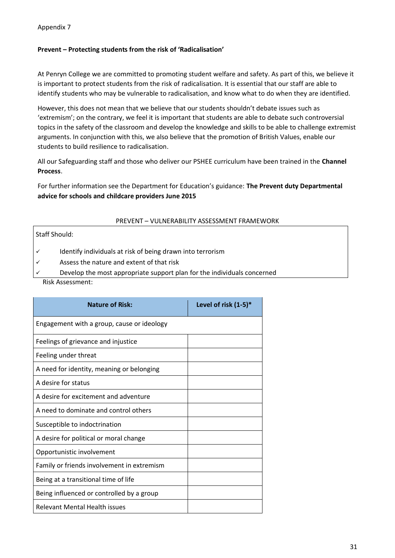Appendix 7

### **Prevent – Protecting students from the risk of 'Radicalisation'**

At Penryn College we are committed to promoting student welfare and safety. As part of this, we believe it is important to protect students from the risk of radicalisation. It is essential that our staff are able to identify students who may be vulnerable to radicalisation, and know what to do when they are identified.

However, this does not mean that we believe that our students shouldn't debate issues such as 'extremism'; on the contrary, we feel it is important that students are able to debate such controversial topics in the safety of the classroom and develop the knowledge and skills to be able to challenge extremist arguments. In conjunction with this, we also believe that the promotion of British Values, enable our students to build resilience to radicalisation.

All our Safeguarding staff and those who deliver our PSHEE curriculum have been trained in the **Channel Process**.

For further information see the Department for Education's guidance: **The Prevent duty Departmental advice for schools and childcare providers June 2015** 

#### PREVENT – VULNERABILITY ASSESSMENT FRAMEWORK

Staff Should:

✓ Identify individuals at risk of being drawn into terrorism

 $\checkmark$  Assess the nature and extent of that risk

Develop the most appropriate support plan for the individuals concerned

Risk Assessment:

| <b>Nature of Risk:</b>                     | Level of risk $(1-5)^*$ |
|--------------------------------------------|-------------------------|
| Engagement with a group, cause or ideology |                         |
| Feelings of grievance and injustice        |                         |
| Feeling under threat                       |                         |
| A need for identity, meaning or belonging  |                         |
| A desire for status                        |                         |
| A desire for excitement and adventure      |                         |
| A need to dominate and control others      |                         |
| Susceptible to indoctrination              |                         |
| A desire for political or moral change     |                         |
| Opportunistic involvement                  |                         |
| Family or friends involvement in extremism |                         |
| Being at a transitional time of life       |                         |
| Being influenced or controlled by a group  |                         |
| <b>Relevant Mental Health issues</b>       |                         |